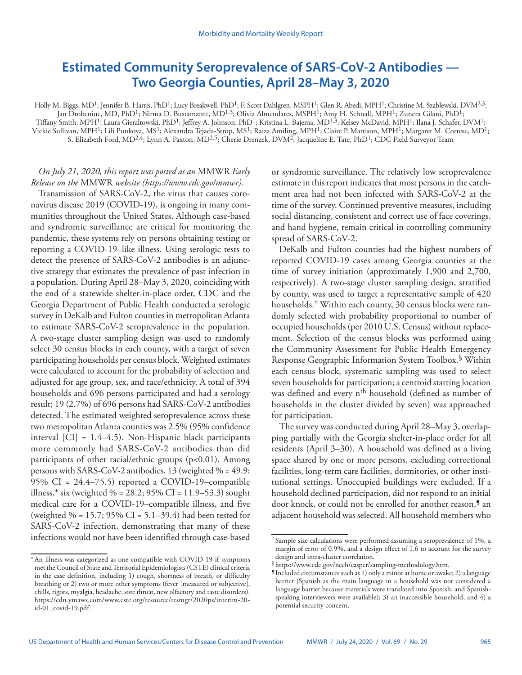# **Estimated Community Seroprevalence of SARS-CoV-2 Antibodies — Two Georgia Counties, April 28–May 3, 2020**

Holly M. Biggs, MD<sup>1</sup>; Jennifer B. Harris, PhD<sup>1</sup>; Lucy Breakwell, PhD<sup>1</sup>; F. Scott Dahlgren, MSPH<sup>1</sup>; Glen R. Abedi, MPH<sup>1</sup>; Christine M. Szablewski, DVM<sup>2,3</sup>; Jan Drobeniuc, MD, PhD<sup>1</sup>; Nirma D. Bustamante, MD<sup>1,3</sup>; Olivia Almendares, MSPH<sup>1</sup>; Amy H. Schnall, MPH<sup>1</sup>; Zunera Gilani, PhD<sup>1</sup>; Tiffany Smith, MPH1; Laura Gieraltowski, PhD1; Jeffrey A. Johnson, PhD1; Kristina L. Bajema, MD1,3; Kelsey McDavid, MPH1; Ilana J. Schafer, DVM1; Vickie Sullivan, MPH1; Lili Punkova, MS1; Alexandra Tejada-Strop, MS1; Raiza Amiling, MPH1; Claire P. Mattison, MPH1; Margaret M. Cortese, MD1; S. Elizabeth Ford, MD2,4; Lynn A. Paxton, MD2,5; Cherie Drenzek, DVM2; Jacqueline E. Tate, PhD1; CDC Field Surveyor Team

# *On July 21, 2020, this report was posted as an* MMWR *Early Release on the* MMWR *website [\(https://www.cdc.gov/mmwr\)](https://www.cdc.gov/mmwr).*

Transmission of SARS-CoV-2, the virus that causes coronavirus disease 2019 (COVID-19), is ongoing in many communities throughout the United States. Although case-based and syndromic surveillance are critical for monitoring the pandemic, these systems rely on persons obtaining testing or reporting a COVID-19–like illness. Using serologic tests to detect the presence of SARS-CoV-2 antibodies is an adjunctive strategy that estimates the prevalence of past infection in a population. During April 28–May 3, 2020, coinciding with the end of a statewide shelter-in-place order, CDC and the Georgia Department of Public Health conducted a serologic survey in DeKalb and Fulton counties in metropolitan Atlanta to estimate SARS-CoV-2 seroprevalence in the population. A two-stage cluster sampling design was used to randomly select 30 census blocks in each county, with a target of seven participating households per census block. Weighted estimates were calculated to account for the probability of selection and adjusted for age group, sex, and race/ethnicity. A total of 394 households and 696 persons participated and had a serology result; 19 (2.7%) of 696 persons had SARS-CoV-2 antibodies detected. The estimated weighted seroprevalence across these two metropolitan Atlanta counties was 2.5% (95% confidence interval [CI] = 1.4–4.5). Non-Hispanic black participants more commonly had SARS-CoV-2 antibodies than did participants of other racial/ethnic groups (p<0.01). Among persons with SARS-CoV-2 antibodies, 13 (weighted  $% = 49.9$ ; 95%  $CI = 24.4-75.5$ ) reported a COVID-19-compatible illness,\* six (weighted % = 28.2; 95% CI = 11.9–53.3) sought medical care for a COVID-19–compatible illness, and five (weighted  $\% = 15.7$ ; 95% CI = 5.1–39.4) had been tested for SARS-CoV-2 infection, demonstrating that many of these infections would not have been identified through case-based

or syndromic surveillance. The relatively low seroprevalence estimate in this report indicates that most persons in the catchment area had not been infected with SARS-CoV-2 at the time of the survey. Continued preventive measures, including social distancing, consistent and correct use of face coverings, and hand hygiene, remain critical in controlling community spread of SARS-CoV-2.

DeKalb and Fulton counties had the highest numbers of reported COVID-19 cases among Georgia counties at the time of survey initiation (approximately 1,900 and 2,700, respectively). A two-stage cluster sampling design, stratified by county, was used to target a representative sample of 420 households.<sup>†</sup> Within each county, 30 census blocks were randomly selected with probability proportional to number of occupied households (per 2010 U.S. Census) without replacement. Selection of the census blocks was performed using the Community Assessment for Public Health Emergency Response Geographic Information System Toolbox.§ Within each census block, systematic sampling was used to select seven households for participation; a centroid starting location was defined and every n<sup>th</sup> household (defined as number of households in the cluster divided by seven) was approached for participation.

The survey was conducted during April 28–May 3, overlapping partially with the Georgia shelter-in-place order for all residents (April 3–30). A household was defined as a living space shared by one or more persons, excluding correctional facilities, long-term care facilities, dormitories, or other institutional settings. Unoccupied buildings were excluded. If a household declined participation, did not respond to an initial door knock, or could not be enrolled for another reason,<sup>*s*</sup> an adjacent household was selected. All household members who

<sup>\*</sup>An illness was categorized as one compatible with COVID-19 if symptoms met the Council of State and Territorial Epidemiologists (CSTE) clinical criteria in the case definition, including 1) cough, shortness of breath, or difficulty breathing or 2) two or more other symptoms (fever [measured or subjective], chills, rigors, myalgia, headache, sore throat, new olfactory and taste disorders). [https://cdn.ymaws.com/www.cste.org/resource/resmgr/2020ps/interim-20](https://cdn.ymaws.com/www.cste.org/resource/resmgr/2020ps/interim-20-id-01_covid-19.pdf) [id-01\\_covid-19.pdf](https://cdn.ymaws.com/www.cste.org/resource/resmgr/2020ps/interim-20-id-01_covid-19.pdf).

<sup>†</sup> Sample size calculations were performed assuming a seroprevalence of 1%, a margin of error of 0.9%, and a design effect of 1.6 to account for the survey design and intra-cluster correlation.<br>§https://www.cdc.gov/nceh/casper/sampling-methodology.htm.

 $\P$ Included circumstances such as 1) only a minor at home or awake; 2) a language barrier (Spanish as the main language in a household was not considered a language barrier because materials were translated into Spanish, and Spanishspeaking interviewers were available); 3) an inaccessible household; and 4) a potential security concern.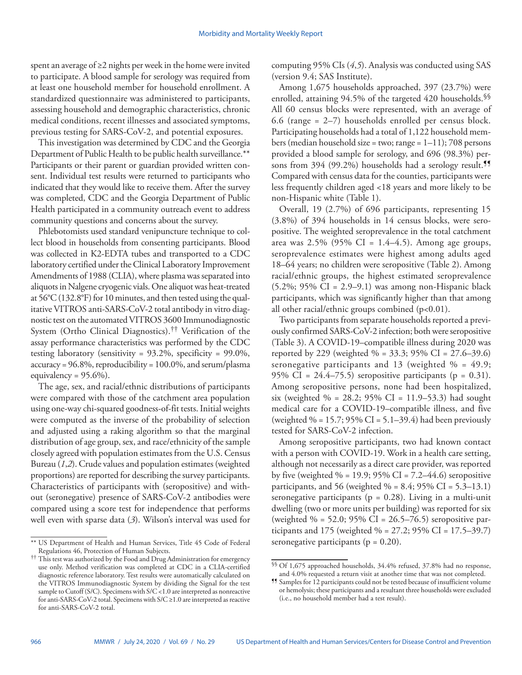spent an average of ≥2 nights per week in the home were invited to participate. A blood sample for serology was required from at least one household member for household enrollment. A standardized questionnaire was administered to participants, assessing household and demographic characteristics, chronic medical conditions, recent illnesses and associated symptoms, previous testing for SARS-CoV-2, and potential exposures.

This investigation was determined by CDC and the Georgia Department of Public Health to be public health surveillance.\*\* Participants or their parent or guardian provided written consent. Individual test results were returned to participants who indicated that they would like to receive them. After the survey was completed, CDC and the Georgia Department of Public Health participated in a community outreach event to address community questions and concerns about the survey.

Phlebotomists used standard venipuncture technique to collect blood in households from consenting participants. Blood was collected in K2-EDTA tubes and transported to a CDC laboratory certified under the Clinical Laboratory Improvement Amendments of 1988 (CLIA), where plasma was separated into aliquots in Nalgene cryogenic vials. One aliquot was heat-treated at 56°C (132.8°F) for 10 minutes, and then tested using the qualitative VITROS anti-SARS-CoV-2 total antibody in vitro diagnostic test on the automated VITROS 3600 Immunodiagnostic System (Ortho Clinical Diagnostics).†† Verification of the assay performance characteristics was performed by the CDC testing laboratory (sensitivity =  $93.2\%$ , specificity =  $99.0\%$ , accuracy =  $96.8\%$ , reproducibility =  $100.0\%$ , and serum/plasma equivalency =  $95.6\%$ ).

The age, sex, and racial/ethnic distributions of participants were compared with those of the catchment area population using one-way chi-squared goodness-of-fit tests. Initial weights were computed as the inverse of the probability of selection and adjusted using a raking algorithm so that the marginal distribution of age group, sex, and race/ethnicity of the sample closely agreed with population estimates from the U.S. Census Bureau (*1*,*2*). Crude values and population estimates (weighted proportions) are reported for describing the survey participants. Characteristics of participants with (seropositive) and without (seronegative) presence of SARS-CoV-2 antibodies were compared using a score test for independence that performs well even with sparse data (*3*). Wilson's interval was used for

computing 95% CIs (*4*,*5*). Analysis was conducted using SAS (version 9.4; SAS Institute).

Among 1,675 households approached, 397 (23.7%) were enrolled, attaining 94.5% of the targeted 420 households.§§ All 60 census blocks were represented, with an average of 6.6 (range  $= 2-7$ ) households enrolled per census block. Participating households had a total of 1,122 household members (median household size = two; range =  $1-11$ ); 708 persons provided a blood sample for serology, and 696 (98.3%) persons from 394 (99.2%) households had a serology result.<sup>11</sup> Compared with census data for the counties, participants were less frequently children aged <18 years and more likely to be non-Hispanic white (Table 1).

Overall, 19 (2.7%) of 696 participants, representing 15 (3.8%) of 394 households in 14 census blocks, were seropositive. The weighted seroprevalence in the total catchment area was  $2.5\%$  (95% CI = 1.4–4.5). Among age groups, seroprevalence estimates were highest among adults aged 18–64 years; no children were seropositive (Table 2). Among racial/ethnic groups, the highest estimated seroprevalence  $(5.2\%; 95\% \text{ CI} = 2.9-9.1)$  was among non-Hispanic black participants, which was significantly higher than that among all other racial/ethnic groups combined (p<0.01).

Two participants from separate households reported a previously confirmed SARS-CoV-2 infection; both were seropositive (Table 3). A COVID-19–compatible illness during 2020 was reported by 229 (weighted  $\% = 33.3$ ; 95% CI = 27.6–39.6) seronegative participants and 13 (weighted  $% = 49.9$ ; 95% CI =  $24.4-75.5$ ) seropositive participants (p = 0.31). Among seropositive persons, none had been hospitalized, six (weighted % = 28.2; 95% CI = 11.9–53.3) had sought medical care for a COVID-19–compatible illness, and five (weighted  $\% = 15.7$ ; 95% CI = 5.1–39.4) had been previously tested for SARS-CoV-2 infection.

Among seropositive participants, two had known contact with a person with COVID-19. Work in a health care setting, although not necessarily as a direct care provider, was reported by five (weighted  $\% = 19.9$ ; 95% CI = 7.2–44.6) seropositive participants, and 56 (weighted  $% = 8.4$ ; 95% CI = 5.3–13.1) seronegative participants ( $p = 0.28$ ). Living in a multi-unit dwelling (two or more units per building) was reported for six (weighted % = 52.0; 95% CI = 26.5–76.5) seropositive participants and 175 (weighted % = 27.2; 95% CI = 17.5–39.7) seronegative participants ( $p = 0.20$ ).

<sup>\*\*</sup> US Department of Health and Human Services, Title 45 Code of Federal Regulations 46, Protection of Human Subjects.

<sup>††</sup> This test was authorized by the Food and Drug Administration for emergency use only. Method verification was completed at CDC in a CLIA-certified diagnostic reference laboratory. Test results were automatically calculated on the VITROS Immunodiagnostic System by dividing the Signal for the test sample to Cutoff (S/C). Specimens with S/C <1.0 are interpreted as nonreactive for anti-SARS-CoV-2 total. Specimens with S/C ≥1.0 are interpreted as reactive for anti-SARS-CoV-2 total.

<sup>§§</sup> Of 1,675 approached households, 34.4% refused, 37.8% had no response, and 4.0% requested a return visit at another time that was not completed.

<sup>¶¶</sup> Samples for 12 participants could not be tested because of insufficient volume or hemolysis; these participants and a resultant three households were excluded (i.e., no household member had a test result).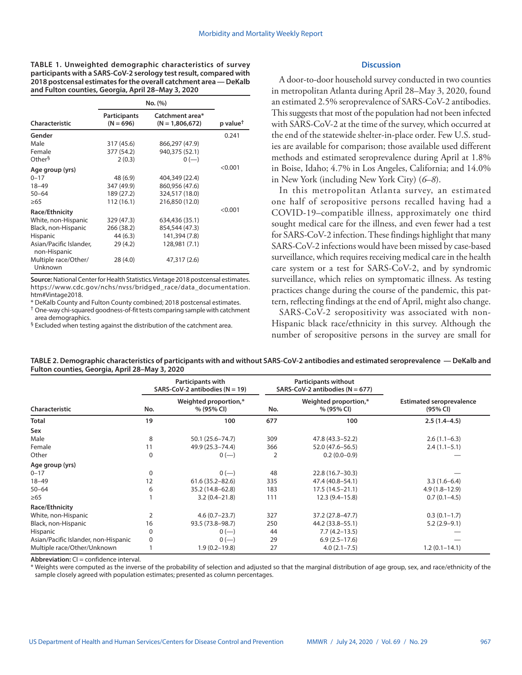**TABLE 1. Unweighted demographic characteristics of survey participants with a SARS-CoV-2 serology test result, compared with 2018 postcensal estimates for the overall catchment area — DeKalb and Fulton counties, Georgia, April 28–May 3, 2020**

|                                         | No. (%)                            |                                      |                      |
|-----------------------------------------|------------------------------------|--------------------------------------|----------------------|
| Characteristic                          | <b>Participants</b><br>$(N = 696)$ | Catchment area*<br>$(N = 1,806,672)$ | p value <sup>†</sup> |
| Gender                                  |                                    |                                      | 0.241                |
| Male                                    | 317 (45.6)                         | 866,297 (47.9)                       |                      |
| Female                                  | 377 (54.2)                         | 940,375 (52.1)                       |                      |
| Other <sup>§</sup>                      | 2(0.3)                             | $0 (-)$                              |                      |
| Age group (yrs)                         |                                    |                                      | < 0.001              |
| $0 - 17$                                | 48 (6.9)                           | 404,349 (22.4)                       |                      |
| $18 - 49$                               | 347 (49.9)                         | 860,956 (47.6)                       |                      |
| $50 - 64$                               | 189 (27.2)                         | 324,517 (18.0)                       |                      |
| >65                                     | 112 (16.1)                         | 216,850 (12.0)                       |                      |
| Race/Ethnicity                          |                                    |                                      | < 0.001              |
| White, non-Hispanic                     | 329 (47.3)                         | 634,436 (35.1)                       |                      |
| Black, non-Hispanic                     | 266 (38.2)                         | 854,544 (47.3)                       |                      |
| <b>Hispanic</b>                         | 44 (6.3)                           | 141,394 (7.8)                        |                      |
| Asian/Pacific Islander.<br>non-Hispanic | 29(4.2)                            | 128,981 (7.1)                        |                      |
| Multiple race/Other/<br>Unknown         | 28(4.0)                            | 47,317 (2.6)                         |                      |

**Source:** National Center for Health Statistics. Vintage 2018 postcensal estimates. [https://www.cdc.gov/nchs/nvss/bridged\\_race/data\\_documentation.](https://www.cdc.gov/nchs/nvss/bridged_race/data_documentation.htm#Vintage2018) [htm#Vintage2018.](https://www.cdc.gov/nchs/nvss/bridged_race/data_documentation.htm#Vintage2018)

\* DeKalb County and Fulton County combined; 2018 postcensal estimates.

† One-way chi-squared goodness-of-fit tests comparing sample with catchment area demographics.

<sup>§</sup> Excluded when testing against the distribution of the catchment area.

**Discussion**

A door-to-door household survey conducted in two counties in metropolitan Atlanta during April 28–May 3, 2020, found an estimated 2.5% seroprevalence of SARS-CoV-2 antibodies. This suggests that most of the population had not been infected with SARS-CoV-2 at the time of the survey, which occurred at the end of the statewide shelter-in-place order. Few U.S. studies are available for comparison; those available used different methods and estimated seroprevalence during April at 1.8% in Boise, Idaho; 4.7% in Los Angeles, California; and 14.0% in New York (including New York City) (*6*–*8*).

In this metropolitan Atlanta survey, an estimated one half of seropositive persons recalled having had a COVID-19–compatible illness, approximately one third sought medical care for the illness, and even fewer had a test for SARS-CoV-2 infection. These findings highlight that many SARS-CoV-2 infections would have been missed by case-based surveillance, which requires receiving medical care in the health care system or a test for SARS-CoV-2, and by syndromic surveillance, which relies on symptomatic illness. As testing practices change during the course of the pandemic, this pattern, reflecting findings at the end of April, might also change.

SARS-CoV-2 seropositivity was associated with non-Hispanic black race/ethnicity in this survey. Although the number of seropositive persons in the survey are small for

| TABLE 2. Demographic characteristics of participants with and without SARS-CoV-2 antibodies and estimated seroprevalence — DeKalb and |  |
|---------------------------------------------------------------------------------------------------------------------------------------|--|
| Fulton counties, Georgia, April 28–May 3, 2020                                                                                        |  |
|                                                                                                                                       |  |

|                                      | Participants with<br>SARS-CoV-2 antibodies ( $N = 19$ ) |                                     | <b>Participants without</b><br>SARS-CoV-2 antibodies ( $N = 677$ ) |                                     |                                             |  |
|--------------------------------------|---------------------------------------------------------|-------------------------------------|--------------------------------------------------------------------|-------------------------------------|---------------------------------------------|--|
| Characteristic                       | No.                                                     | Weighted proportion,*<br>% (95% CI) | No.                                                                | Weighted proportion,*<br>% (95% CI) | <b>Estimated seroprevalence</b><br>(95% CI) |  |
| Total                                | 19                                                      | 100                                 | 677                                                                | 100                                 | $2.5(1.4-4.5)$                              |  |
| Sex                                  |                                                         |                                     |                                                                    |                                     |                                             |  |
| Male                                 | 8                                                       | 50.1 (25.6–74.7)                    | 309                                                                | 47.8 (43.3–52.2)                    | $2.6(1.1-6.3)$                              |  |
| Female                               | 11                                                      | 49.9 (25.3 - 74.4)                  | 366                                                                | 52.0 (47.6 - 56.5)                  | $2.4(1.1-5.1)$                              |  |
| Other                                | $\Omega$                                                | $0 (-)$                             | 2                                                                  | $0.2(0.0-0.9)$                      |                                             |  |
| Age group (yrs)                      |                                                         |                                     |                                                                    |                                     |                                             |  |
| $0 - 17$                             | $\Omega$                                                | $0 (-)$                             | 48                                                                 | $22.8(16.7 - 30.3)$                 |                                             |  |
| $18 - 49$                            | 12                                                      | $61.6(35.2 - 82.6)$                 | 335                                                                | 47.4 (40.8-54.1)                    | $3.3(1.6-6.4)$                              |  |
| $50 - 64$                            | 6                                                       | 35.2 (14.8-62.8)                    | 183                                                                | $17.5(14.5 - 21.1)$                 | $4.9(1.8-12.9)$                             |  |
| $\geq 65$                            |                                                         | $3.2(0.4 - 21.8)$                   | 111                                                                | 12.3 (9.4 - 15.8)                   | $0.7(0.1-4.5)$                              |  |
| Race/Ethnicity                       |                                                         |                                     |                                                                    |                                     |                                             |  |
| White, non-Hispanic                  |                                                         | $4.6(0.7-23.7)$                     | 327                                                                | 37.2 (27.8–47.7)                    | $0.3(0.1-1.7)$                              |  |
| Black, non-Hispanic                  | 16                                                      | 93.5 (73.8-98.7)                    | 250                                                                | 44.2 (33.8–55.1)                    | $5.2(2.9-9.1)$                              |  |
| Hispanic                             | 0                                                       | $0 (-)$                             | 44                                                                 | $7.7(4.2 - 13.5)$                   |                                             |  |
| Asian/Pacific Islander, non-Hispanic | $\Omega$                                                | $0 (-)$                             | 29                                                                 | $6.9(2.5-17.6)$                     |                                             |  |
| Multiple race/Other/Unknown          |                                                         | $1.9(0.2 - 19.8)$                   | 27                                                                 | $4.0(2.1 - 7.5)$                    | $1.2(0.1 - 14.1)$                           |  |

**Abbreviation:** CI = confidence interval.

\* Weights were computed as the inverse of the probability of selection and adjusted so that the marginal distribution of age group, sex, and race/ethnicity of the sample closely agreed with population estimates; presented as column percentages.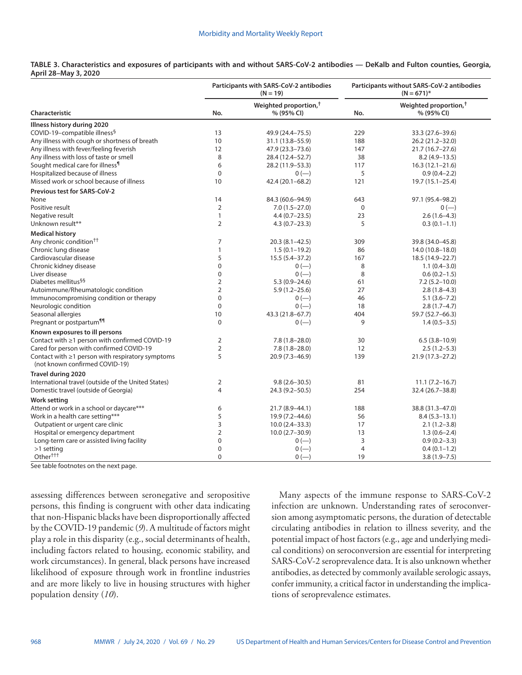|                                                                                          | Participants with SARS-CoV-2 antibodies<br>$(N = 19)$ |                                                 | Participants without SARS-CoV-2 antibodies<br>$(N = 671)^*$ |                                                 |
|------------------------------------------------------------------------------------------|-------------------------------------------------------|-------------------------------------------------|-------------------------------------------------------------|-------------------------------------------------|
| <b>Characteristic</b>                                                                    | No.                                                   | Weighted proportion, <sup>†</sup><br>% (95% CI) | No.                                                         | Weighted proportion, <sup>†</sup><br>% (95% CI) |
| Illness history during 2020                                                              |                                                       |                                                 |                                                             |                                                 |
| COVID-19-compatible illness <sup>§</sup>                                                 | 13                                                    | 49.9 (24.4-75.5)                                | 229                                                         | 33.3 (27.6–39.6)                                |
| Any illness with cough or shortness of breath                                            | 10                                                    | 31.1 (13.8–55.9)                                | 188                                                         | 26.2 (21.2-32.0)                                |
| Any illness with fever/feeling feverish                                                  | 12                                                    | 47.9 (23.3-73.6)                                | 147                                                         | 21.7 (16.7-27.6)                                |
| Any illness with loss of taste or smell                                                  | 8                                                     | 28.4 (12.4-52.7)                                | 38                                                          | $8.2(4.9-13.5)$                                 |
| Sought medical care for illness <sup>1</sup>                                             | 6                                                     | 28.2 (11.9–53.3)                                | 117                                                         | $16.3(12.1-21.6)$                               |
| Hospitalized because of illness                                                          | $\mathbf 0$                                           | $0 (-)$                                         | 5                                                           | $0.9(0.4-2.2)$                                  |
| Missed work or school because of illness                                                 | 10                                                    | 42.4 (20.1-68.2)                                | 121                                                         | 19.7 (15.1-25.4)                                |
| <b>Previous test for SARS-CoV-2</b>                                                      |                                                       |                                                 |                                                             |                                                 |
| None                                                                                     | 14                                                    | 84.3 (60.6-94.9)                                | 643                                                         | 97.1 (95.4-98.2)                                |
| Positive result                                                                          | $\overline{2}$                                        | $7.0(1.5-27.0)$                                 | $\mathbf 0$                                                 | $0 (-)$                                         |
| Negative result                                                                          | $\mathbf{1}$                                          | $4.4(0.7-23.5)$                                 | 23                                                          | $2.6(1.6-4.3)$                                  |
| Unknown result**                                                                         | $\overline{2}$                                        | $4.3(0.7-23.3)$                                 | 5                                                           | $0.3(0.1-1.1)$                                  |
| <b>Medical history</b>                                                                   |                                                       |                                                 |                                                             |                                                 |
| Any chronic condition <sup>††</sup>                                                      | 7                                                     | $20.3(8.1 - 42.5)$                              | 309                                                         | 39.8 (34.0-45.8)                                |
| Chronic lung disease                                                                     | $\mathbf{1}$                                          | $1.5(0.1-19.2)$                                 | 86                                                          | 14.0 (10.8–18.0)                                |
| Cardiovascular disease                                                                   | 5                                                     | $15.5(5.4 - 37.2)$                              | 167                                                         | 18.5 (14.9-22.7)                                |
| Chronic kidney disease                                                                   | 0                                                     | $0 (-)$                                         | 8                                                           | $1.1(0.4 - 3.0)$                                |
| Liver disease                                                                            | 0                                                     | $0 (-)$                                         | 8                                                           | $0.6(0.2-1.5)$                                  |
| Diabetes mellitus <sup>§§</sup>                                                          | 2                                                     | $5.3(0.9 - 24.6)$                               | 61                                                          | $7.2(5.2 - 10.0)$                               |
| Autoimmune/Rheumatologic condition                                                       | $\overline{2}$                                        | $5.9(1.2 - 25.6)$                               | 27                                                          | $2.8(1.8-4.3)$                                  |
| Immunocompromising condition or therapy                                                  | $\mathbf 0$                                           | $0 (-)$                                         | 46                                                          | $5.1(3.6 - 7.2)$                                |
| Neurologic condition                                                                     | $\mathbf 0$                                           | $0 (-)$                                         | 18                                                          | $2.8(1.7-4.7)$                                  |
| Seasonal allergies                                                                       | 10                                                    | 43.3 (21.8-67.7)                                | 404                                                         | 59.7 (52.7 - 66.3)                              |
| Pregnant or postpartum <sup>11</sup>                                                     | $\Omega$                                              | $0 (-)$                                         | 9                                                           | $1.4(0.5-3.5)$                                  |
| Known exposures to ill persons                                                           |                                                       |                                                 |                                                             |                                                 |
| Contact with ≥1 person with confirmed COVID-19                                           | 2                                                     | $7.8(1.8-28.0)$                                 | 30                                                          | $6.5(3.8-10.9)$                                 |
| Cared for person with confirmed COVID-19                                                 | $\overline{2}$                                        | $7.8(1.8-28.0)$                                 | 12                                                          | $2.5(1.2-5.3)$                                  |
| Contact with $\geq 1$ person with respiratory symptoms<br>(not known confirmed COVID-19) | 5                                                     | $20.9(7.3-46.9)$                                | 139                                                         | $21.9(17.3 - 27.2)$                             |
| Travel during 2020                                                                       |                                                       |                                                 |                                                             |                                                 |
| International travel (outside of the United States)                                      | 2                                                     | $9.8(2.6 - 30.5)$                               | 81                                                          | $11.1 (7.2 - 16.7)$                             |
| Domestic travel (outside of Georgia)                                                     | 4                                                     | 24.3 (9.2–50.5)                                 | 254                                                         | 32.4 (26.7-38.8)                                |
| <b>Work setting</b>                                                                      |                                                       |                                                 |                                                             |                                                 |
| Attend or work in a school or daycare***                                                 | 6                                                     | 21.7 (8.9-44.1)                                 | 188                                                         | 38.8 (31.3-47.0)                                |
| Work in a health care setting***                                                         | 5                                                     | 19.9 (7.2-44.6)                                 | 56                                                          | $8.4(5.3-13.1)$                                 |
| Outpatient or urgent care clinic                                                         | 3                                                     | $10.0(2.4 - 33.3)$                              | 17                                                          | $2.1(1.2 - 3.8)$                                |
| Hospital or emergency department                                                         | $\overline{2}$                                        | $10.0(2.7 - 30.9)$                              | 13                                                          | $1.3(0.6-2.4)$                                  |
| Long-term care or assisted living facility                                               | 0                                                     | $0 (-)$                                         | 3                                                           | $0.9(0.2 - 3.3)$                                |
| >1 setting                                                                               | $\pmb{0}$                                             | $0 (-)$                                         | $\overline{4}$                                              | $0.4(0.1-1.2)$                                  |
| Other <sup>†††</sup>                                                                     | $\Omega$                                              | $0 (-)$                                         | 19                                                          | $3.8(1.9 - 7.5)$                                |

## **TABLE 3. Characteristics and exposures of participants with and without SARS-CoV-2 antibodies — DeKalb and Fulton counties, Georgia, April 28–May 3, 2020**

See table footnotes on the next page.

assessing differences between seronegative and seropositive persons, this finding is congruent with other data indicating that non-Hispanic blacks have been disproportionally affected by the COVID-19 pandemic (*9*). A multitude of factors might play a role in this disparity (e.g., social determinants of health, including factors related to housing, economic stability, and work circumstances). In general, black persons have increased likelihood of exposure through work in frontline industries and are more likely to live in housing structures with higher population density (*10*).

Many aspects of the immune response to SARS-CoV-2 infection are unknown. Understanding rates of seroconversion among asymptomatic persons, the duration of detectable circulating antibodies in relation to illness severity, and the potential impact of host factors (e.g., age and underlying medical conditions) on seroconversion are essential for interpreting SARS-CoV-2 seroprevalence data. It is also unknown whether antibodies, as detected by commonly available serologic assays, confer immunity, a critical factor in understanding the implications of seroprevalence estimates.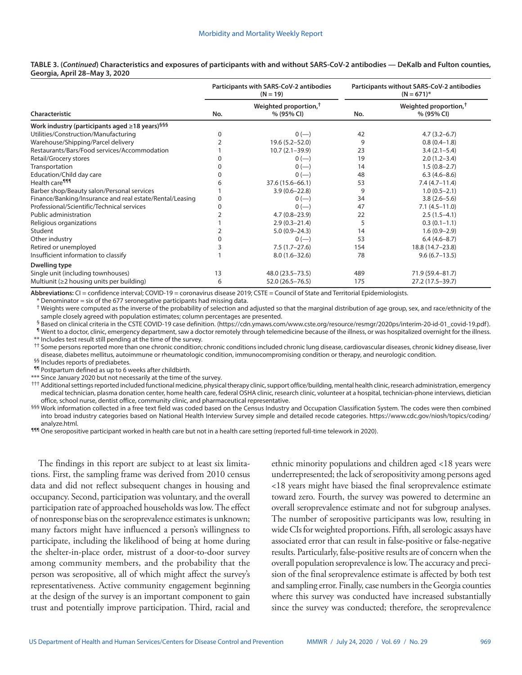|                                                            | Participants with SARS-CoV-2 antibodies<br>$(N = 19)$ |                                                 | Participants without SARS-CoV-2 antibodies<br>$(N = 671)^*$ |                                                 |
|------------------------------------------------------------|-------------------------------------------------------|-------------------------------------------------|-------------------------------------------------------------|-------------------------------------------------|
| Characteristic                                             | No.                                                   | Weighted proportion, <sup>†</sup><br>% (95% CI) | No.                                                         | Weighted proportion, <sup>†</sup><br>% (95% CI) |
| Work industry (participants aged ≥18 years) <sup>§§§</sup> |                                                       |                                                 |                                                             |                                                 |
| Utilities/Construction/Manufacturing                       | 0                                                     | $0 (-)$                                         | 42                                                          | $4.7(3.2 - 6.7)$                                |
| Warehouse/Shipping/Parcel delivery                         |                                                       | $19.6(5.2 - 52.0)$                              | 9                                                           | $0.8(0.4-1.8)$                                  |
| Restaurants/Bars/Food services/Accommodation               |                                                       | $10.7(2.1 - 39.9)$                              | 23                                                          | $3.4(2.1-5.4)$                                  |
| Retail/Grocery stores                                      |                                                       | $0 (-)$                                         | 19                                                          | $2.0(1.2 - 3.4)$                                |
| Transportation                                             | 0                                                     | $0 (-)$                                         | 14                                                          | $1.5(0.8-2.7)$                                  |
| Education/Child day care                                   | 0                                                     | $0 (-)$                                         | 48                                                          | $6.3(4.6-8.6)$                                  |
| Health care <sup>¶¶¶</sup>                                 | 6                                                     | 37.6 (15.6–66.1)                                | 53                                                          | $7.4(4.7-11.4)$                                 |
| Barber shop/Beauty salon/Personal services                 |                                                       | $3.9(0.6 - 22.8)$                               | 9                                                           | $1.0(0.5-2.1)$                                  |
| Finance/Banking/Insurance and real estate/Rental/Leasing   | 0                                                     | $0 (-)$                                         | 34                                                          | $3.8(2.6 - 5.6)$                                |
| Professional/Scientific/Technical services                 | 0                                                     | $0 (-)$                                         | 47                                                          | $7.1(4.5-11.0)$                                 |
| <b>Public administration</b>                               |                                                       | $4.7(0.8 - 23.9)$                               | 22                                                          | $2.5(1.5-4.1)$                                  |
| Religious organizations                                    |                                                       | $2.9(0.3 - 21.4)$                               |                                                             | $0.3(0.1-1.1)$                                  |
| Student                                                    |                                                       | $5.0(0.9 - 24.3)$                               | 14                                                          | $1.6(0.9-2.9)$                                  |
| Other industry                                             | 0                                                     | $0 (-)$                                         | 53                                                          | $6.4(4.6-8.7)$                                  |
| Retired or unemployed                                      |                                                       | $7.5(1.7-27.6)$                                 | 154                                                         | 18.8 (14.7-23.8)                                |
| Insufficient information to classify                       |                                                       | $8.0(1.6 - 32.6)$                               | 78                                                          | $9.6(6.7-13.5)$                                 |
| Dwelling type                                              |                                                       |                                                 |                                                             |                                                 |
| Single unit (including townhouses)                         | 13                                                    | 48.0 (23.5 - 73.5)                              | 489                                                         | 71.9 (59.4-81.7)                                |
| Multiunit (≥2 housing units per building)                  | 6                                                     | 52.0 (26.5-76.5)                                | 175                                                         | 27.2 (17.5-39.7)                                |

#### **TABLE 3. (***Continued***) Characteristics and exposures of participants with and without SARS-CoV-2 antibodies — DeKalb and Fulton counties, Georgia, April 28–May 3, 2020**

**Abbreviations:** CI = confidence interval; COVID-19 = coronavirus disease 2019; CSTE = Council of State and Territorial Epidemiologists.

\* Denominator = six of the 677 seronegative participants had missing data.

† Weights were computed as the inverse of the probability of selection and adjusted so that the marginal distribution of age group, sex, and race/ethnicity of the sample closely agreed with population estimates; column percentages are presented.

§ Based on clinical criteria in the CSTE COVID-19 case definition. [\(https://cdn.ymaws.com/www.cste.org/resource/resmgr/2020ps/interim-20-id-01\\_covid-19.pdf](https://cdn.ymaws.com/www.cste.org/resource/resmgr/2020ps/interim-20-id-01_covid-19.pdf)).

¶ Went to a doctor, clinic, emergency department, saw a doctor remotely through telemedicine because of the illness, or was hospitalized overnight for the illness. \*\* Includes test result still pending at the time of the survey.

<sup>††</sup> Some persons reported more than one chronic condition; chronic conditions included chronic lung disease, cardiovascular diseases, chronic kidney disease, liver disease, diabetes mellitus, autoimmune or rheumatologic condition, immunocompromising condition or therapy, and neurologic condition.

§§ Includes reports of prediabetes.

¶¶ Postpartum defined as up to 6 weeks after childbirth.

\*\*\* Since January 2020 but not necessarily at the time of the survey.

††† Additional settings reported included functional medicine, physical therapy clinic, support office/building, mental health clinic, research administration, emergency medical technician, plasma donation center, home health care, federal OSHA clinic, research clinic, volunteer at a hospital, technician-phone interviews, dietician office, school nurse, dentist office, community clinic, and pharmaceutical representative.

<sup>§§§</sup> Work information collected in a free text field was coded based on the Census Industry and Occupation Classification System. The codes were then combined into broad industry categories based on National Health Interview Survey simple and detailed recode categories. [https://www.cdc.gov/niosh/topics/coding/](https://www.cdc.gov/niosh/topics/coding/analyze.html)

[analyze.html](https://www.cdc.gov/niosh/topics/coding/analyze.html).<br>¶¶¶ One seropositive participant worked in health care but not in a health care setting (reported full-time telework in 2020).

The findings in this report are subject to at least six limitations. First, the sampling frame was derived from 2010 census data and did not reflect subsequent changes in housing and occupancy. Second, participation was voluntary, and the overall participation rate of approached households was low. The effect of nonresponse bias on the seroprevalence estimates is unknown; many factors might have influenced a person's willingness to participate, including the likelihood of being at home during the shelter-in-place order, mistrust of a door-to-door survey among community members, and the probability that the person was seropositive, all of which might affect the survey's representativeness. Active community engagement beginning at the design of the survey is an important component to gain trust and potentially improve participation. Third, racial and

ethnic minority populations and children aged <18 years were underrepresented; the lack of seropositivity among persons aged <18 years might have biased the final seroprevalence estimate toward zero. Fourth, the survey was powered to determine an overall seroprevalence estimate and not for subgroup analyses. The number of seropositive participants was low, resulting in wide CIs for weighted proportions. Fifth, all serologic assays have associated error that can result in false-positive or false-negative results. Particularly, false-positive results are of concern when the overall population seroprevalence is low. The accuracy and precision of the final seroprevalence estimate is affected by both test and sampling error. Finally, case numbers in the Georgia counties where this survey was conducted have increased substantially since the survey was conducted; therefore, the seroprevalence